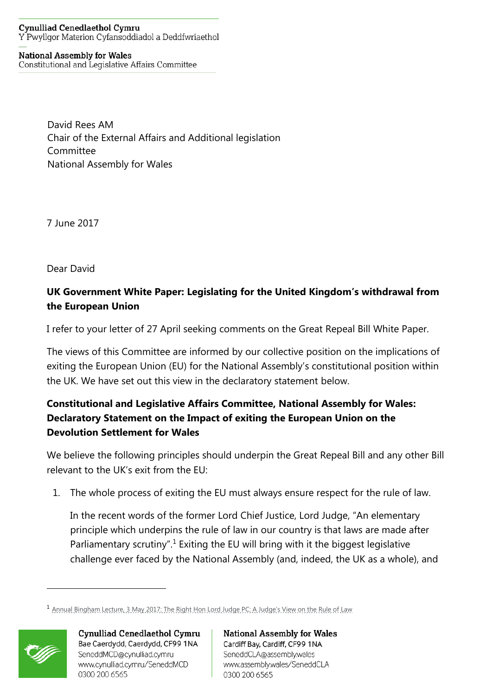## **Cynulliad Cenedlaethol Cymru** Y Pwyllgor Materion Cyfansoddiadol a Deddfwriaethol

## **National Assembly for Wales** Constitutional and Legislative Affairs Committee

David Rees AM Chair of the External Affairs and Additional legislation Committee National Assembly for Wales

7 June 2017

Dear David

## **UK Government White Paper: Legislating for the United Kingdom's withdrawal from the European Union**

I refer to your letter of 27 April seeking comments on the Great Repeal Bill White Paper.

The views of this Committee are informed by our collective position on the implications of exiting the European Union (EU) for the National Assembly's constitutional position within the UK. We have set out this view in the declaratory statement below.

## **Constitutional and Legislative Affairs Committee, National Assembly for Wales: Declaratory Statement on the Impact of exiting the European Union on the Devolution Settlement for Wales**

We believe the following principles should underpin the Great Repeal Bill and any other Bill relevant to the UK's exit from the EU:

1. The whole process of exiting the EU must always ensure respect for the rule of law.

In the recent words of the former Lord Chief Justice, Lord Judge, "An elementary principle which underpins the rule of law in our country is that laws are made after Parliamentary scrutiny".<sup>1</sup> Exiting the EU will bring with it the biggest legislative challenge ever faced by the National Assembly (and, indeed, the UK as a whole), and

<sup>1</sup> [Annual Bingham Lecture, 3 May 2017: The Right Hon Lord Judge PC: A Judge's View on the Rule of](https://www.biicl.org/documents/1637_2017_05_11transcript_of_lord_judges_speech_3.pdf?showdocument=1) Law



 $\overline{a}$ 

Cynulliad Cenedlaethol Cymru Bae Caerdydd, Caerdydd, CF99 1NA SeneddMCD@cynulliad.cymru www.cynulliad.cymru/SeneddMCD 0300 200 6565

**National Assembly for Wales** Cardiff Bay, Cardiff, CF99 1NA SeneddCLA@assembly.wales www.assembly.wales/SeneddCLA 0300 200 6565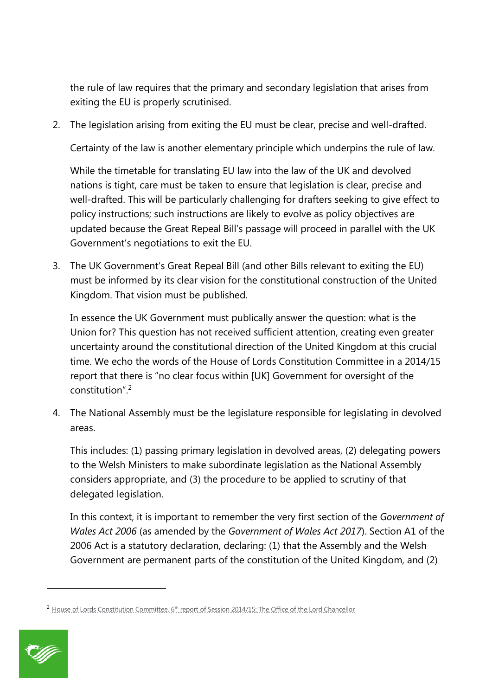the rule of law requires that the primary and secondary legislation that arises from exiting the EU is properly scrutinised.

2. The legislation arising from exiting the EU must be clear, precise and well-drafted.

Certainty of the law is another elementary principle which underpins the rule of law.

While the timetable for translating EU law into the law of the UK and devolved nations is tight, care must be taken to ensure that legislation is clear, precise and well-drafted. This will be particularly challenging for drafters seeking to give effect to policy instructions; such instructions are likely to evolve as policy objectives are updated because the Great Repeal Bill's passage will proceed in parallel with the UK Government's negotiations to exit the EU.

3. The UK Government's Great Repeal Bill (and other Bills relevant to exiting the EU) must be informed by its clear vision for the constitutional construction of the United Kingdom. That vision must be published.

In essence the UK Government must publically answer the question: what is the Union for? This question has not received sufficient attention, creating even greater uncertainty around the constitutional direction of the United Kingdom at this crucial time. We echo the words of the House of Lords Constitution Committee in a 2014/15 report that there is "no clear focus within [UK] Government for oversight of the constitution"<sup>2</sup>

4. The National Assembly must be the legislature responsible for legislating in devolved areas.

This includes: (1) passing primary legislation in devolved areas, (2) delegating powers to the Welsh Ministers to make subordinate legislation as the National Assembly considers appropriate, and (3) the procedure to be applied to scrutiny of that delegated legislation.

In this context, it is important to remember the very first section of the *Government of Wales Act 2006* (as amended by the *Government of Wales Act 2017*). Section A1 of the 2006 Act is a statutory declaration, declaring: (1) that the Assembly and the Welsh Government are permanent parts of the constitution of the United Kingdom, and (2)

<sup>&</sup>lt;sup>2</sup> House of Lords Constitution Committee, 6<sup>th</sup> [report of Session 2014/15: The Office of the Lord Chancellor](https://www.publications.parliament.uk/pa/ld201415/ldselect/ldconst/75/75.pdf)



 $\overline{a}$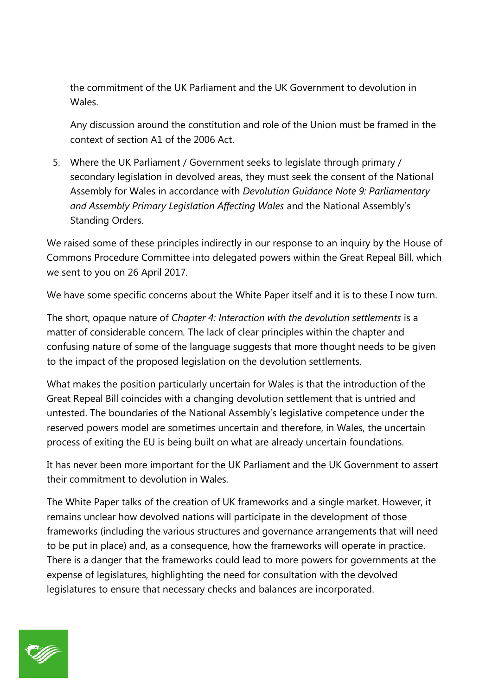the commitment of the UK Parliament and the UK Government to devolution in Wales.

Any discussion around the constitution and role of the Union must be framed in the context of section A1 of the 2006 Act.

5. Where the UK Parliament / Government seeks to legislate through primary / secondary legislation in devolved areas, they must seek the consent of the National Assembly for Wales in accordance with *Devolution Guidance Note 9: Parliamentary and Assembly Primary Legislation Affecting Wales* and the National Assembly's Standing Orders.

We raised some of these principles indirectly in our response to an inquiry by the House of Commons Procedure Committee into delegated powers within the Great Repeal Bill, which we sent to you on 26 April 2017.

We have some specific concerns about the White Paper itself and it is to these I now turn.

The short, opaque nature of *Chapter 4: Interaction with the devolution settlements* is a matter of considerable concern*.* The lack of clear principles within the chapter and confusing nature of some of the language suggests that more thought needs to be given to the impact of the proposed legislation on the devolution settlements.

What makes the position particularly uncertain for Wales is that the introduction of the Great Repeal Bill coincides with a changing devolution settlement that is untried and untested. The boundaries of the National Assembly's legislative competence under the reserved powers model are sometimes uncertain and therefore, in Wales, the uncertain process of exiting the EU is being built on what are already uncertain foundations.

It has never been more important for the UK Parliament and the UK Government to assert their commitment to devolution in Wales.

The White Paper talks of the creation of UK frameworks and a single market. However, it remains unclear how devolved nations will participate in the development of those frameworks (including the various structures and governance arrangements that will need to be put in place) and, as a consequence, how the frameworks will operate in practice. There is a danger that the frameworks could lead to more powers for governments at the expense of legislatures, highlighting the need for consultation with the devolved legislatures to ensure that necessary checks and balances are incorporated.

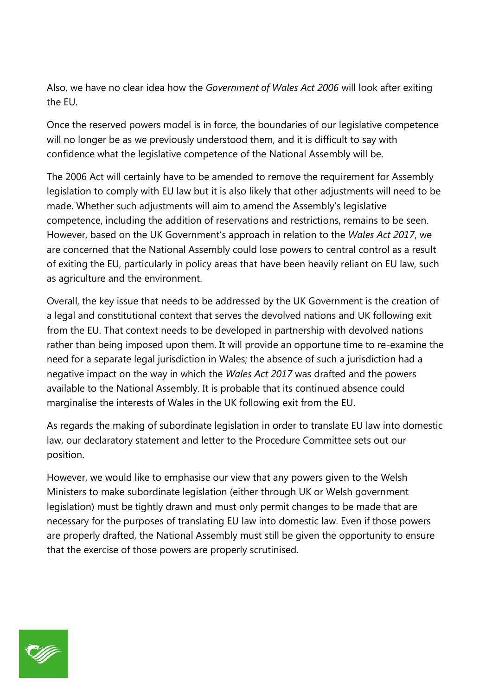Also, we have no clear idea how the *Government of Wales Act 2006* will look after exiting the EU.

Once the reserved powers model is in force, the boundaries of our legislative competence will no longer be as we previously understood them, and it is difficult to say with confidence what the legislative competence of the National Assembly will be.

The 2006 Act will certainly have to be amended to remove the requirement for Assembly legislation to comply with EU law but it is also likely that other adjustments will need to be made. Whether such adjustments will aim to amend the Assembly's legislative competence, including the addition of reservations and restrictions, remains to be seen. However, based on the UK Government's approach in relation to the *Wales Act 2017*, we are concerned that the National Assembly could lose powers to central control as a result of exiting the EU, particularly in policy areas that have been heavily reliant on EU law, such as agriculture and the environment.

Overall, the key issue that needs to be addressed by the UK Government is the creation of a legal and constitutional context that serves the devolved nations and UK following exit from the EU. That context needs to be developed in partnership with devolved nations rather than being imposed upon them. It will provide an opportune time to re-examine the need for a separate legal jurisdiction in Wales; the absence of such a jurisdiction had a negative impact on the way in which the *Wales Act 2017* was drafted and the powers available to the National Assembly. It is probable that its continued absence could marginalise the interests of Wales in the UK following exit from the EU.

As regards the making of subordinate legislation in order to translate EU law into domestic law, our declaratory statement and letter to the Procedure Committee sets out our position.

However, we would like to emphasise our view that any powers given to the Welsh Ministers to make subordinate legislation (either through UK or Welsh government legislation) must be tightly drawn and must only permit changes to be made that are necessary for the purposes of translating EU law into domestic law. Even if those powers are properly drafted, the National Assembly must still be given the opportunity to ensure that the exercise of those powers are properly scrutinised.